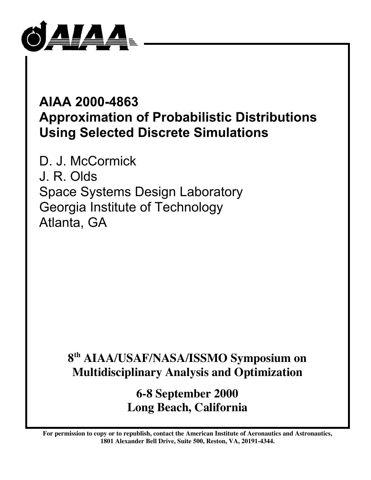

# **AIAA 2000-4863 Approximation of Probabilistic Distributions Using Selected Discrete Simulations**

D. J. McCormick J. R. Olds Space Systems Design Laboratory Georgia Institute of Technology Atlanta, GA

# **8th AIAA/USAF/NASA/ISSMO Symposium on Multidisciplinary Analysis and Optimization**

**6-8 September 2000 Long Beach, California**

**For permission to copy or to republish, contact the American Institute of Aeronautics and Astronautics, 1801 Alexander Bell Drive, Suite 500, Reston, VA, 20191-4344.**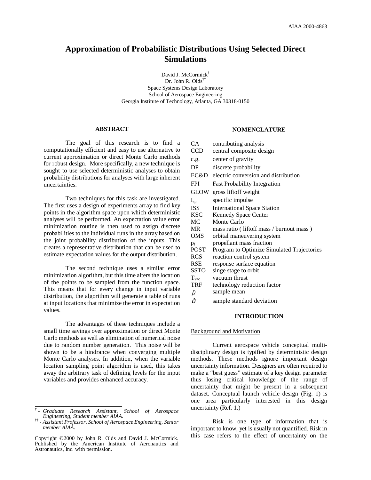# **Approximation of Probabilistic Distributions Using Selected Direct Simulations**

David J. McCormick † Dr. John R. Olds †† Space Systems Design Laboratory School of Aerospace Engineering Georgia Institute of Technology, Atlanta, GA 30318-0150

#### **ABSTRACT**

The goal of this research is to find a computationally efficient and easy to use alternative to current approximation or direct Monte Carlo methods for robust design. More specifically, a new technique is sought to use selected deterministic analyses to obtain probability distributions for analyses with large inherent uncertainties.

Two techniques for this task are investigated. The first uses a design of experiments array to find key points in the algorithm space upon which deterministic analyses will be performed. An expectation value error minimization routine is then used to assign discrete probabilities to the individual runs in the array based on the joint probability distribution of the inputs. This creates a representative distribution that can be used to estimate expectation values for the output distribution.

The second technique uses a similar error minimization algorithm, but this time alters the location of the points to be sampled from the function space. This means that for every change in input variable distribution, the algorithm will generate a table of runs at input locations that minimize the error in expectation values.

The advantages of these techniques include a small time savings over approximation or direct Monte Carlo methods as well as elimination of numerical noise due to random number generation. This noise will be shown to be a hindrance when converging multiple Monte Carlo analyses. In addition, when the variable location sampling point algorithm is used, this takes away the arbitrary task of defining levels for the input variables and provides enhanced accuracy.

# **NOMENCLATURE**

 $C_A$  contributing analysis

| CA             | contributing analysis                      |
|----------------|--------------------------------------------|
| <b>CCD</b>     | central composite design                   |
| c.g.           | center of gravity                          |
| DP             | discrete probability                       |
| EC&D           | electric conversion and distribution       |
| <b>FPI</b>     | <b>Fast Probability Integration</b>        |
| GLOW           | gross liftoff weight                       |
| $I_{sp}$       | specific impulse                           |
| <b>ISS</b>     | International Space Station                |
| <b>KSC</b>     | <b>Kennedy Space Center</b>                |
| МC             | Monte Carlo                                |
| MR             | mass ratio (liftoff mass / burnout mass)   |
| OMS            | orbital maneuvering system                 |
| $p_f$          | propellant mass fraction                   |
| <b>POST</b>    | Program to Optimize Simulated Trajectories |
| <b>RCS</b>     | reaction control system                    |
| <b>RSE</b>     | response surface equation                  |
| SSTO           | singe stage to orbit                       |
| $T_{\rm vac}$  | vacuum thrust                              |
| <b>TRF</b>     | technology reduction factor                |
| $\hat{\mu}$    | sample mean                                |
| $\hat{\sigma}$ | sample standard deviation                  |
|                |                                            |

# **INTRODUCTION**

#### Background and Motivation

Current aerospace vehicle conceptual multidisciplinary design is typified by deterministic design methods. These methods ignore important design uncertainty information. Designers are often required to make a "best guess" estimate of a key design parameter thus losing critical knowledge of the range of uncertainty that might be present in a subsequent dataset. Conceptual launch vehicle design (Fig. 1) is one area particularly interested in this design uncertainty (Ref. 1.)

Risk is one type of information that is important to know, yet is usually not quantified. Risk in this case refers to the effect of uncertainty on the

<sup>†</sup> *- Graduate Research Assistant, School of Aerospace Engineering, Student member AIAA.*

<sup>††</sup> *- Assistant Professor, School of Aerospace Engineering, Senior member AIAA.*

Copyright ©2000 by John R. Olds and David J. McCormick. Published by the American Institute of Aeronautics and Astronautics, Inc. with permission.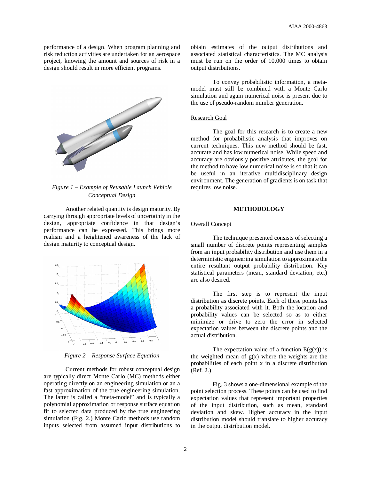performance of a design. When program planning and risk reduction activities are undertaken for an aerospace project, knowing the amount and sources of risk in a design should result in more efficient programs.



*Figure 1 – Example of Reusable Launch Vehicle Conceptual Design*

Another related quantity is design maturity. By carrying through appropriate levels of uncertainty in the design, appropriate confidence in that design's performance can be expressed. This brings more realism and a heightened awareness of the lack of design maturity to conceptual design.



*Figure 2 – Response Surface Equation*

Current methods for robust conceptual design are typically direct Monte Carlo (MC) methods either operating directly on an engineering simulation or an a fast approximation of the true engineering simulation. The latter is called a "meta-model" and is typically a polynomial approximation or response surface equation fit to selected data produced by the true engineering simulation (Fig. 2.) Monte Carlo methods use random inputs selected from assumed input distributions to obtain estimates of the output distributions and associated statistical characteristics. The MC analysis must be run on the order of 10,000 times to obtain output distributions.

To convey probabilistic information, a metamodel must still be combined with a Monte Carlo simulation and again numerical noise is present due to the use of pseudo-random number generation.

#### Research Goal

The goal for this research is to create a new method for probabilistic analysis that improves on current techniques. This new method should be fast, accurate and has low numerical noise. While speed and accuracy are obviously positive attributes, the goal for the method to have low numerical noise is so that it can be useful in an iterative multidisciplinary design environment. The generation of gradients is on task that requires low noise.

### **METHODOLOGY**

#### Overall Concept

The technique presented consists of selecting a small number of discrete points representing samples from an input probability distribution and use them in a deterministic engineering simulation to approximate the entire resultant output probability distribution. Key statistical parameters (mean, standard deviation, etc.) are also desired.

The first step is to represent the input distribution as discrete points. Each of these points has a probability associated with it. Both the location and probability values can be selected so as to either minimize or drive to zero the error in selected expectation values between the discrete points and the actual distribution.

The expectation value of a function  $E(g(x))$  is the weighted mean of  $g(x)$  where the weights are the probabilities of each point x in a discrete distribution (Ref. 2.)

Fig. 3 shows a one-dimensional example of the point selection process. These points can be used to find expectation values that represent important properties of the input distribution, such as mean, standard deviation and skew. Higher accuracy in the input distribution model should translate to higher accuracy in the output distribution model.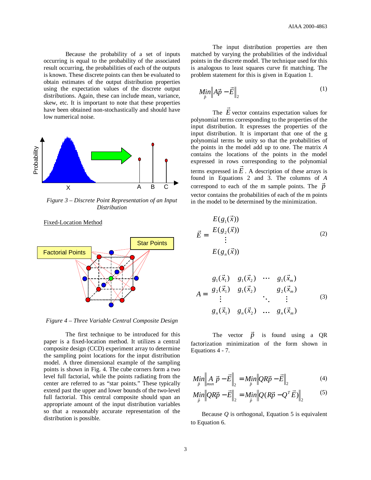Because the probability of a set of inputs occurring is equal to the probability of the associated result occurring, the probabilities of each of the outputs is known. These discrete points can then be evaluated to obtain estimates of the output distribution properties using the expectation values of the discrete output distributions. Again, these can include mean, variance, skew, etc. It is important to note that these properties have been obtained non-stochastically and should have low numerical noise.



*Figure 3 – Discrete Point Representation of an Input Distribution*



Fixed-Location Method

*Figure 4 – Three Variable Central Composite Design*

The first technique to be introduced for this paper is a fixed-location method. It utilizes a central composite design (CCD) experiment array to determine the sampling point locations for the input distribution model. A three dimensional example of the sampling points is shown in Fig. 4. The cube corners form a two level full factorial, while the points radiating from the center are referred to as "star points." These typically extend past the upper and lower bounds of the two-level full factorial. This central composite should span an appropriate amount of the input distribution variables so that a reasonably accurate representation of the distribution is possible.

The input distribution properties are then matched by varying the probabilities of the individual points in the discrete model. The technique used for this is analogous to least squares curve fit matching. The problem statement for this is given in Equation 1.

$$
\underset{\vec{p}}{\text{Min}}\left\|A\vec{p} - \vec{E}\right\|_2\tag{1}
$$

The  $\vec{E}$  vector contains expectation values for polynomial terms corresponding to the properties of the input distribution. It expresses the properties of the input distribution. It is important that one of the g polynomial terms be unity so that the probabilities of the points in the model add up to one. The matrix *A* contains the locations of the points in the model expressed in rows corresponding to the polynomial terms expressed in  $\vec{E}$ . A description of these arrays is found in Equations 2 and 3. The columns of *A* correspond to each of the m sample points. The  $\vec{p}$ vector contains the probabilities of each of the m points in the model to be determined by the minimization.

$$
\vec{E} = \begin{bmatrix} E(g_1(\vec{x})) \\ E(g_2(\vec{x})) \\ \vdots \\ E(g_n(\vec{x})) \end{bmatrix}
$$
 (2)

$$
A = \begin{bmatrix} g_1(\vec{x}_1) & g_1(\vec{x}_2) & \cdots & g_1(\vec{x}_m) \\ g_2(\vec{x}_1) & g_1(\vec{x}_2) & g_2(\vec{x}_m) \\ \vdots & \vdots & \ddots & \vdots \\ g_n(\vec{x}_1) & g_n(\vec{x}_2) & \cdots & g_n(\vec{x}_m) \end{bmatrix}
$$
(3)

The vector *p* is found using a QR factorization minimization of the form shown in Equations 4 - 7.

$$
Min\limits_{\vec{p}}\Big\|A\limits_{mxn}\vec{p}-\vec{E}\Big\|_2 = Min\Big\|QR\vec{p}-\vec{E}\Big\|_2
$$
\n(4)

$$
Min_{\vec{p}}\left\|QR\vec{p} - \vec{E}\right\|_2 = Min \left\|Q(R\vec{p} - Q^T\vec{E})\right\|_2 \tag{5}
$$

Because *Q* is orthogonal, Equation 5 is equivalent to Equation 6.

3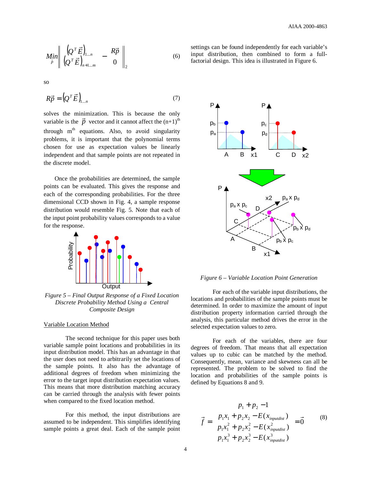$$
\underset{\vec{p}}{\text{Min}} \left\| \begin{pmatrix} \left(Q^T \vec{E} \right)_{1...n} \\ \left(Q^T \vec{E} \right)_{n+1...m} \end{pmatrix} - \begin{pmatrix} R\vec{p} \\ 0 \end{pmatrix} \right\|_2 \tag{6}
$$

so

$$
R\vec{p} = \left(Q^T\vec{E}\right)_{1...n} \tag{7}
$$

solves the minimization. This is because the only variable is the  $\vec{p}$  vector and it cannot affect the  $(n+1)$ <sup>th</sup> through m<sup>th</sup> equations. Also, to avoid singularity problems, it is important that the polynomial terms chosen for use as expectation values be linearly independent and that sample points are not repeated in the discrete model.

Once the probabilities are determined, the sample points can be evaluated. This gives the response and each of the corresponding probabilities. For the three dimensional CCD shown in Fig. 4, a sample response distribution would resemble Fig. 5. Note that each of the input point probability values corresponds to a value for the response.



*Figure 5 – Final Output Response of a Fixed Location Discrete Probability Method Using a Central Composite Design*

#### Variable Location Method

The second technique for this paper uses both variable sample point locations and probabilities in its input distribution model. This has an advantage in that the user does not need to arbitrarily set the locations of the sample points. It also has the advantage of additional degrees of freedom when minimizing the error to the target input distribution expectation values. This means that more distribution matching accuracy can be carried through the analysis with fewer points when compared to the fixed location method.

For this method, the input distributions are assumed to be independent. This simplifies identifying sample points a great deal. Each of the sample point

settings can be found independently for each variable's input distribution, then combined to form a fullfactorial design. This idea is illustrated in Figure 6.



*Figure 6 – Variable Location Point Generation*

For each of the variable input distributions, the locations and probabilities of the sample points must be determined. In order to maximize the amount of input distribution property information carried through the analysis, this particular method drives the error in the selected expectation values to zero.

For each of the variables, there are four degrees of freedom. That means that all expectation values up to cubic can be matched by the method. Consequently, mean, variance and skewness can all be represented. The problem to be solved to find the location and probabilities of the sample points is defined by Equations 8 and 9.

$$
\vec{f} = \begin{pmatrix} p_1 + p_2 - 1 \\ p_1 x_1 + p_2 x_2 - E(x_{\text{impudist}}) \\ p_1 x_1^2 + p_2 x_2^2 - E(x_{\text{impudist}}^2) \\ p_1 x_1^3 + p_2 x_2^3 - E(x_{\text{impudist}}^3) \end{pmatrix} = \vec{0}
$$
 (8)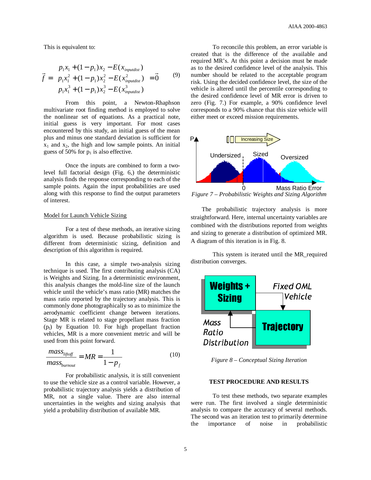This is equivalent to:

$$
\vec{f} = \begin{pmatrix} p_1 x_1 + (1 - p_1) x_2 - E(x_{\text{impudist}}) \\ p_1 x_1^2 + (1 - p_1) x_2^2 - E(x_{\text{impudist}}^2) \\ p_1 x_1^3 + (1 - p_1) x_2^3 - E(x_{\text{impudist}}^3) \end{pmatrix} = \vec{0}
$$
 (9)

From this point, a Newton-Rhaphson multivariate root finding method is employed to solve the nonlinear set of equations. As a practical note, initial guess is very important. For most cases encountered by this study, an initial guess of the mean plus and minus one standard deviation is sufficient for  $x_1$  and  $x_2$ , the high and low sample points. An initial guess of 50% for  $p_1$  is also effective.

Once the inputs are combined to form a twolevel full factorial design (Fig. 6,) the deterministic analysis finds the response corresponding to each of the sample points. Again the input probabilities are used along with this response to find the output parameters of interest.

#### Model for Launch Vehicle Sizing

For a test of these methods, an iterative sizing algorithm is used. Because probabilistic sizing is different from deterministic sizing, definition and description of this algorithm is required.

In this case, a simple two-analysis sizing technique is used. The first contributing analysis (CA) is Weights and Sizing. In a deterministic environment, this analysis changes the mold-line size of the launch vehicle until the vehicle's mass ratio (MR) matches the mass ratio reported by the trajectory analysis. This is commonly done photographically so as to minimize the aerodynamic coefficient change between iterations. Stage MR is related to stage propellant mass fraction  $(p_f)$  by Equation 10. For high propellant fraction vehicles, MR is a more convenient metric and will be used from this point forward.

$$
\frac{mass_{lipoff}}{mass_{burnout}} = MR = \frac{1}{1 - p_f}
$$
(10)

For probabilistic analysis, it is still convenient to use the vehicle size as a control variable. However, a probabilistic trajectory analysis yields a distribution of MR, not a single value. There are also internal uncertainties in the weights and sizing analysis that yield a probability distribution of available MR.

To reconcile this problem, an error variable is created that is the difference of the available and required MR's. At this point a decision must be made as to the desired confidence level of the analysis. This number should be related to the acceptable program risk. Using the decided confidence level, the size of the vehicle is altered until the percentile corresponding to the desired confidence level of MR error is driven to zero (Fig. 7.) For example, a 90% confidence level corresponds to a 90% chance that this size vehicle will either meet or exceed mission requirements.



*Figure 7 – Probabilistic Weights and Sizing Algorithm*

The probabilistic trajectory analysis is more straightforward. Here, internal uncertainty variables are combined with the distributions reported from weights and sizing to generate a distribution of optimized MR. A diagram of this iteration is in Fig. 8.

This system is iterated until the MR\_required distribution converges.



*Figure 8 – Conceptual Sizing Iteration*

#### **TEST PROCEDURE AND RESULTS**

To test these methods, two separate examples were run. The first involved a single deterministic analysis to compare the accuracy of several methods. The second was an iteration test to primarily determine the importance of noise in probabilistic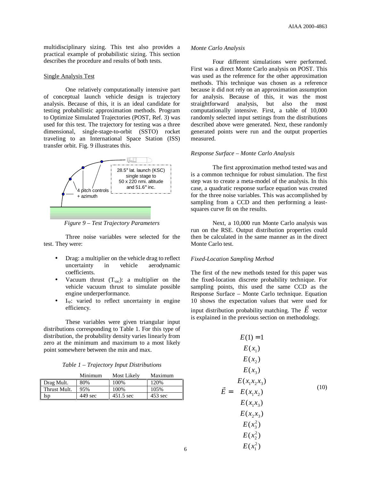multidisciplinary sizing. This test also provides a practical example of probabilistic sizing. This section describes the procedure and results of both tests.

# Single Analysis Test

One relatively computationally intensive part of conceptual launch vehicle design is trajectory analysis. Because of this, it is an ideal candidate for testing probabilistic approximation methods. Program to Optimize Simulated Trajectories (POST, Ref. 3) was used for this test. The trajectory for testing was a three dimensional, single-stage-to-orbit (SSTO) rocket traveling to an International Space Station (ISS) transfer orbit. Fig. 9 illustrates this.



*Figure 9 – Test Trajectory Parameters*

Three noise variables were selected for the test. They were:

- Drag: a multiplier on the vehicle drag to reflect uncertainty in vehicle aerodynamic coefficients.
- Vacuum thrust  $(T_{\text{vac}})$ : a multiplier on the vehicle vacuum thrust to simulate possible engine underperformance.
- $I_{sp}:$  varied to reflect uncertainty in engine efficiency.

These variables were given triangular input distributions corresponding to Table 1. For this type of distribution, the probability density varies linearly from zero at the minimum and maximum to a most likely point somewhere between the min and max.

| Table 1 - Trajectory Input Distributions |  |  |  |
|------------------------------------------|--|--|--|
|                                          |  |  |  |

|              | Minimum | Most Likely | Maximum           |
|--------------|---------|-------------|-------------------|
| Drag Mult.   | 80%     | 100\%       | 120%              |
| Thrust Mult. | 95%     | 100%        | 105%              |
| Isp          | 449 sec | 451.5 sec   | $453 \text{ sec}$ |

#### *Monte Carlo Analysis*

Four different simulations were performed. First was a direct Monte Carlo analysis on POST. This was used as the reference for the other approximation methods. This technique was chosen as a reference because it did not rely on an approximation assumption for analysis. Because of this, it was the most straightforward analysis, but also the most computationally intensive. First, a table of 10,000 randomly selected input settings from the distributions described above were generated. Next, these randomly generated points were run and the output properties measured.

#### *Response Surface – Monte Carlo Analysis*

The first approximation method tested was and is a common technique for robust simulation. The first step was to create a meta-model of the analysis. In this case, a quadratic response surface equation was created for the three noise variables. This was accomplished by sampling from a CCD and then performing a leastsquares curve fit on the results.

Next, a 10,000 run Monte Carlo analysis was run on the RSE. Output distribution properties could then be calculated in the same manner as in the direct Monte Carlo test.

#### *Fixed-Location Sampling Method*

The first of the new methods tested for this paper was the fixed-location discrete probability technique. For sampling points, this used the same CCD as the Response Surface – Monte Carlo technique. Equation 10 shows the expectation values that were used for input distribution probability matching. The  $E$  vector is explained in the previous section on methodology.

$$
\vec{E} = \begin{bmatrix}\nE(1) = 1 \\
E(x_1) \\
E(x_2) \\
E(x_3) \\
E(x_1x_2x_3) \\
E(x_1x_2) \\
E(x_1x_3) \\
E(x_2x_3) \\
E(x_2^2) \\
E(x_2^2) \\
E(x_1^2)\n\end{bmatrix}
$$
\n(10)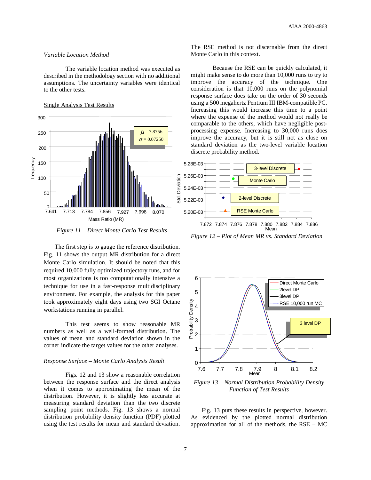# *Variable Location Method*

The variable location method was executed as described in the methodology section with no additional assumptions. The uncertainty variables were identical to the other tests.

# Single Analysis Test Results



*Figure 11 – Direct Monte Carlo Test Results*

The first step is to gauge the reference distribution. Fig. 11 shows the output MR distribution for a direct Monte Carlo simulation. It should be noted that this required 10,000 fully optimized trajectory runs, and for most organizations is too computationally intensive a technique for use in a fast-response multidisciplinary environment. For example, the analysis for this paper took approximately eight days using two SGI Octane workstations running in parallel.

This test seems to show reasonable MR numbers as well as a well-formed distribution. The values of mean and standard deviation shown in the corner indicate the target values for the other analyses.

#### *Response Surface – Monte Carlo Analysis Result*

Figs. 12 and 13 show a reasonable correlation between the response surface and the direct analysis when it comes to approximating the mean of the distribution. However, it is slightly less accurate at measuring standard deviation than the two discrete sampling point methods. Fig. 13 shows a normal distribution probability density function (PDF) plotted using the test results for mean and standard deviation.

The RSE method is not discernable from the direct Monte Carlo in this context.

Because the RSE can be quickly calculated, it might make sense to do more than 10,000 runs to try to improve the accuracy of the technique. One consideration is that 10,000 runs on the polynomial response surface does take on the order of 30 seconds using a 500 megahertz Pentium III IBM-compatible PC. Increasing this would increase this time to a point where the expense of the method would not really be comparable to the others, which have negligible postprocessing expense. Increasing to 30,000 runs does improve the accuracy, but it is still not as close on standard deviation as the two-level variable location discrete probability method.



*Figure 12 – Plot of Mean MR vs. Standard Deviation*



*Figure 13 – Normal Distribution Probability Density Function of Test Results*

Fig. 13 puts these results in perspective, however. As evidenced by the plotted normal distribution approximation for all of the methods, the RSE – MC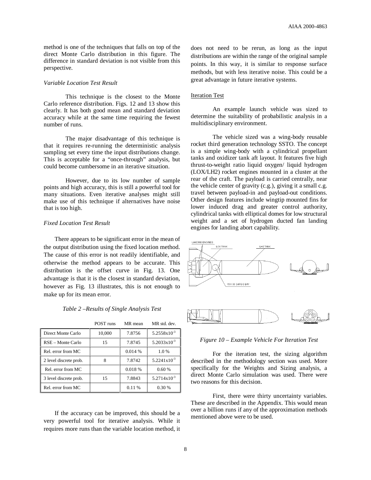method is one of the techniques that falls on top of the direct Monte Carlo distribution in this figure. The difference in standard deviation is not visible from this perspective.

#### *Variable Location Test Result*

This technique is the closest to the Monte Carlo reference distribution. Figs. 12 and 13 show this clearly. It has both good mean and standard deviation accuracy while at the same time requiring the fewest number of runs.

The major disadvantage of this technique is that it requires re-running the deterministic analysis sampling set every time the input distributions change. This is acceptable for a "once-through" analysis, but could become cumbersome in an iterative situation.

However, due to its low number of sample points and high accuracy, this is still a powerful tool for many situations. Even iterative analyses might still make use of this technique if alternatives have noise that is too high.

# *Fixed Location Test Result*

There appears to be significant error in the mean of the output distribution using the fixed location method. The cause of this error is not readily identifiable, and otherwise the method appears to be accurate. This distribution is the offset curve in Fig. 13. One advantage is that it is the closest in standard deviation, however as Fig. 13 illustrates, this is not enough to make up for its mean error.

|                        | POST runs | MR mean   | MR std. dev.            |
|------------------------|-----------|-----------|-------------------------|
| Direct Monte Carlo     | 10,000    | 7.8756    | $5.2558x10^{-3}$        |
| RSE – Monte Carlo      | 15        | 7.8745    | $5.2033 \times 10^{-3}$ |
| Rel. error from MC     |           | $0.014\%$ | 1.0%                    |
| 2 level discrete prob. | 8         | 7.8742    | $5.2241 \times 10^{-3}$ |
| Rel. error from MC     |           | 0.018 %   | 0.60%                   |
| 3 level discrete prob. | 15        | 7.8843    | $5.2714x10^{-3}$        |
| Rel. error from MC     |           | 0.11%     | 0.30%                   |

If the accuracy can be improved, this should be a very powerful tool for iterative analysis. While it requires more runs than the variable location method, it

does not need to be rerun, as long as the input distributions are within the range of the original sample points. In this way, it is similar to response surface methods, but with less iterative noise. This could be a great advantage in future iterative systems.

### Iteration Test

An example launch vehicle was sized to determine the suitability of probabilistic analysis in a multidisciplinary environment.

The vehicle sized was a wing-body reusable rocket third generation technology SSTO. The concept is a simple wing-body with a cylindrical propellant tanks and oxidizer tank aft layout. It features five high thrust-to-weight ratio liquid oxygen/ liquid hydrogen (LOX/LH2) rocket engines mounted in a cluster at the rear of the craft. The payload is carried centrally, near the vehicle center of gravity (c.g.), giving it a small c.g. travel between payload-in and payload-out conditions. Other design features include wingtip mounted fins for lower induced drag and greater control authority, cylindrical tanks with elliptical domes for low structural weight and a set of hydrogen ducted fan landing engines for landing abort capability.



*Figure 10 – Example Vehicle For Iteration Test*

For the iteration test, the sizing algorithm described in the methodology section was used. More specifically for the Weights and Sizing analysis, a direct Monte Carlo simulation was used. There were two reasons for this decision.

First, there were thirty uncertainty variables. These are described in the Appendix. This would mean over a billion runs if any of the approximation methods mentioned above were to be used.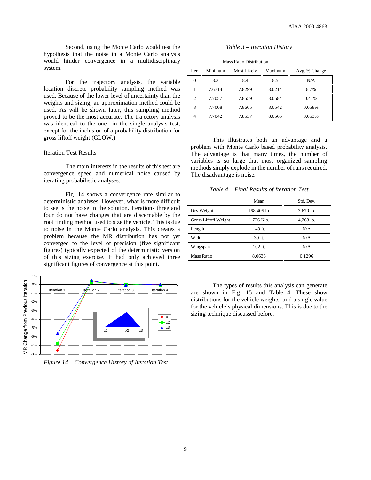Second, using the Monte Carlo would test the hypothesis that the noise in a Monte Carlo analysis would hinder convergence in a multidisciplinary system.

For the trajectory analysis, the variable location discrete probability sampling method was used. Because of the lower level of uncertainty than the weights and sizing, an approximation method could be used. As will be shown later, this sampling method proved to be the most accurate. The trajectory analysis was identical to the one in the single analysis test, except for the inclusion of a probability distribution for gross liftoff weight (GLOW.)

### **Iteration Test Results**

The main interests in the results of this test are convergence speed and numerical noise caused by iterating probabilistic analyses.

Fig. 14 shows a convergence rate similar to deterministic analyses. However, what is more difficult to see is the noise in the solution. Iterations three and four do not have changes that are discernable by the root finding method used to size the vehicle. This is due to noise in the Monte Carlo analysis. This creates a problem because the MR distribution has not yet converged to the level of precision (five significant figures) typically expected of the deterministic version of this sizing exercise. It had only achieved three significant figures of convergence at this point.



*Figure 14 – Convergence History of Iteration Test*

#### *Table 3 – Iteration History*

| <b>Mass Ratio Distribution</b> |         |             |         |               |
|--------------------------------|---------|-------------|---------|---------------|
| Iter.                          | Minimum | Most Likely | Maximum | Avg. % Change |
| 0                              | 8.3     | 8.4         | 8.5     | N/A           |
|                                | 7.6714  | 7.8299      | 8.0214  | 6.7%          |
| 2                              | 7.7057  | 7.8559      | 8.0584  | 0.41%         |
| 3                              | 7.7008  | 7.8605      | 8.0542  | 0.058%        |
|                                | 7.7042  | 7.8537      | 8.0566  | 0.053%        |

This illustrates both an advantage and a problem with Monte Carlo based probability analysis. The advantage is that many times, the number of variables is so large that most organized sampling methods simply explode in the number of runs required. The disadvantage is noise.

*Table 4 – Final Results of Iteration Test*

|                      | Mean        | Std. Dev.   |
|----------------------|-------------|-------------|
| Dry Weight           | 168,405 lb. | 3,679 lb.   |
| Gross Liftoff Weight | 1,726 Klb.  | $4,263$ lb. |
| Length               | 149 ft.     | N/A         |
| Width                | $30$ ft.    | N/A         |
| Wingspan             | $102$ ft.   | N/A         |
| Mass Ratio           | 8.0633      | 0.1296      |

The types of results this analysis can generate are shown in Fig. 15 and Table 4. These show distributions for the vehicle weights, and a single value for the vehicle's physical dimensions. This is due to the sizing technique discussed before.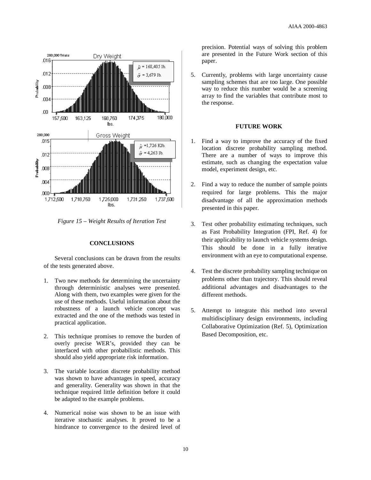

*Figure 15 – Weight Results of Iteration Test*

# **CONCLUSIONS**

Several conclusions can be drawn from the results of the tests generated above.

- 1. Two new methods for determining the uncertainty through deterministic analyses were presented. Along with them, two examples were given for the use of these methods. Useful information about the robustness of a launch vehicle concept was extracted and the one of the methods was tested in practical application.
- 2. This technique promises to remove the burden of overly precise WER's, provided they can be interfaced with other probabilistic methods. This should also yield appropriate risk information.
- 3. The variable location discrete probability method was shown to have advantages in speed, accuracy and generality. Generality was shown in that the technique required little definition before it could be adapted to the example problems.
- 4. Numerical noise was shown to be an issue with iterative stochastic analyses. It proved to be a hindrance to convergence to the desired level of

precision. Potential ways of solving this problem are presented in the Future Work section of this paper.

5. Currently, problems with large uncertainty cause sampling schemes that are too large. One possible way to reduce this number would be a screening array to find the variables that contribute most to the response.

# **FUTURE WORK**

- 1. Find a way to improve the accuracy of the fixed location discrete probability sampling method. There are a number of ways to improve this estimate, such as changing the expectation value model, experiment design, etc.
- 2. Find a way to reduce the number of sample points required for large problems. This the major disadvantage of all the approximation methods presented in this paper.
- 3. Test other probability estimating techniques, such as Fast Probability Integration (FPI, Ref. 4) for their applicability to launch vehicle systems design. This should be done in a fully iterative environment with an eye to computational expense.
- 4. Test the discrete probability sampling technique on problems other than trajectory. This should reveal additional advantages and disadvantages to the different methods.
- 5. Attempt to integrate this method into several multidisciplinary design environments, including Collaborative Optimization (Ref. 5), Optimization Based Decomposition, etc.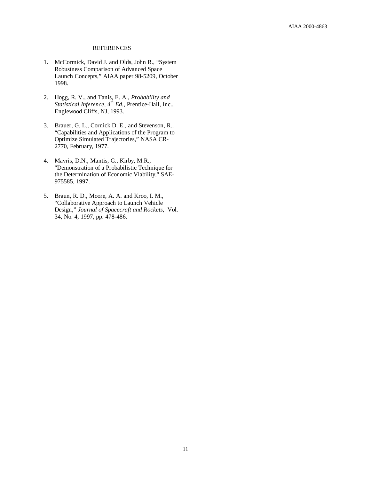#### REFERENCES

- 1. McCormick, David J. and Olds, John R., "System Robustness Comparison of Advanced Space Launch Concepts," AIAA paper 98-5209, October 1998.
- 2. Hogg, R. V., and Tanis, E. A., *Probability and Statistical Inference, 4 th Ed*., Prentice-Hall, Inc., Englewood Cliffs, NJ, 1993.
- 3. Brauer, G. L., Cornick D. E., and Stevenson, R., "Capabilities and Applications of the Program to Optimize Simulated Trajectories," NASA CR-2770, February, 1977.
- 4. Mavris, D.N., Mantis, G., Kirby, M.R., "Demonstration of a Probabilistic Technique for the Determination of Economic Viability," SAE-975585, 1997.
- 5. Braun, R. D., Moore, A. A. and Kroo, I. M., "Collaborative Approach to Launch Vehicle Design," *Journal of Spacecraft and Rockets*, Vol. 34, No. 4, 1997, pp. 478-486.